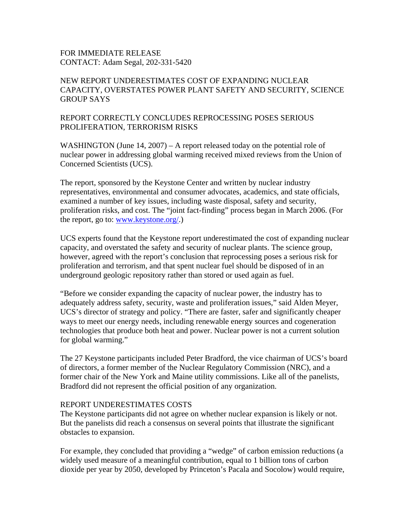## FOR IMMEDIATE RELEASE CONTACT: Adam Segal, 202-331-5420

## NEW REPORT UNDERESTIMATES COST OF EXPANDING NUCLEAR CAPACITY, OVERSTATES POWER PLANT SAFETY AND SECURITY, SCIENCE GROUP SAYS

## REPORT CORRECTLY CONCLUDES REPROCESSING POSES SERIOUS PROLIFERATION, TERRORISM RISKS

WASHINGTON (June 14, 2007) – A report released today on the potential role of nuclear power in addressing global warming received mixed reviews from the Union of Concerned Scientists (UCS).

The report, sponsored by the Keystone Center and written by nuclear industry representatives, environmental and consumer advocates, academics, and state officials, examined a number of key issues, including waste disposal, safety and security, proliferation risks, and cost. The "joint fact-finding" process began in March 2006. (For the report, go to: www.keystone.org/.)

UCS experts found that the Keystone report underestimated the cost of expanding nuclear capacity, and overstated the safety and security of nuclear plants. The science group, however, agreed with the report's conclusion that reprocessing poses a serious risk for proliferation and terrorism, and that spent nuclear fuel should be disposed of in an underground geologic repository rather than stored or used again as fuel.

"Before we consider expanding the capacity of nuclear power, the industry has to adequately address safety, security, waste and proliferation issues," said Alden Meyer, UCS's director of strategy and policy. "There are faster, safer and significantly cheaper ways to meet our energy needs, including renewable energy sources and cogeneration technologies that produce both heat and power. Nuclear power is not a current solution for global warming."

The 27 Keystone participants included Peter Bradford, the vice chairman of UCS's board of directors, a former member of the Nuclear Regulatory Commission (NRC), and a former chair of the New York and Maine utility commissions. Like all of the panelists, Bradford did not represent the official position of any organization.

## REPORT UNDERESTIMATES COSTS

The Keystone participants did not agree on whether nuclear expansion is likely or not. But the panelists did reach a consensus on several points that illustrate the significant obstacles to expansion.

For example, they concluded that providing a "wedge" of carbon emission reductions (a widely used measure of a meaningful contribution, equal to 1 billion tons of carbon dioxide per year by 2050, developed by Princeton's Pacala and Socolow) would require,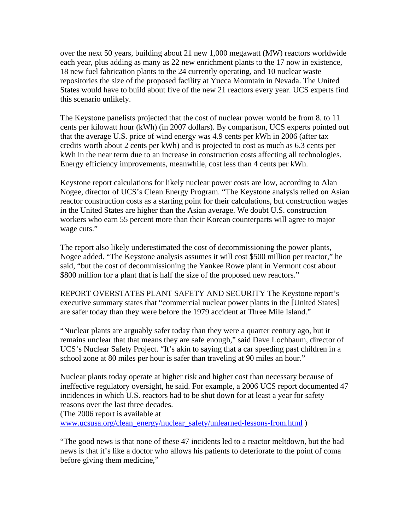over the next 50 years, building about 21 new 1,000 megawatt (MW) reactors worldwide each year, plus adding as many as 22 new enrichment plants to the 17 now in existence, 18 new fuel fabrication plants to the 24 currently operating, and 10 nuclear waste repositories the size of the proposed facility at Yucca Mountain in Nevada. The United States would have to build about five of the new 21 reactors every year. UCS experts find this scenario unlikely.

The Keystone panelists projected that the cost of nuclear power would be from 8. to 11 cents per kilowatt hour (kWh) (in 2007 dollars). By comparison, UCS experts pointed out that the average U.S. price of wind energy was 4.9 cents per kWh in 2006 (after tax credits worth about 2 cents per kWh) and is projected to cost as much as 6.3 cents per kWh in the near term due to an increase in construction costs affecting all technologies. Energy efficiency improvements, meanwhile, cost less than 4 cents per kWh.

Keystone report calculations for likely nuclear power costs are low, according to Alan Nogee, director of UCS's Clean Energy Program. "The Keystone analysis relied on Asian reactor construction costs as a starting point for their calculations, but construction wages in the United States are higher than the Asian average. We doubt U.S. construction workers who earn 55 percent more than their Korean counterparts will agree to major wage cuts."

The report also likely underestimated the cost of decommissioning the power plants, Nogee added. "The Keystone analysis assumes it will cost \$500 million per reactor," he said, "but the cost of decommissioning the Yankee Rowe plant in Vermont cost about \$800 million for a plant that is half the size of the proposed new reactors."

REPORT OVERSTATES PLANT SAFETY AND SECURITY The Keystone report's executive summary states that "commercial nuclear power plants in the [United States] are safer today than they were before the 1979 accident at Three Mile Island."

"Nuclear plants are arguably safer today than they were a quarter century ago, but it remains unclear that that means they are safe enough," said Dave Lochbaum, director of UCS's Nuclear Safety Project. "It's akin to saying that a car speeding past children in a school zone at 80 miles per hour is safer than traveling at 90 miles an hour."

Nuclear plants today operate at higher risk and higher cost than necessary because of ineffective regulatory oversight, he said. For example, a 2006 UCS report documented 47 incidences in which U.S. reactors had to be shut down for at least a year for safety reasons over the last three decades.

(The 2006 report is available at

www.ucsusa.org/clean\_energy/nuclear\_safety/unlearned-lessons-from.html )

"The good news is that none of these 47 incidents led to a reactor meltdown, but the bad news is that it's like a doctor who allows his patients to deteriorate to the point of coma before giving them medicine,"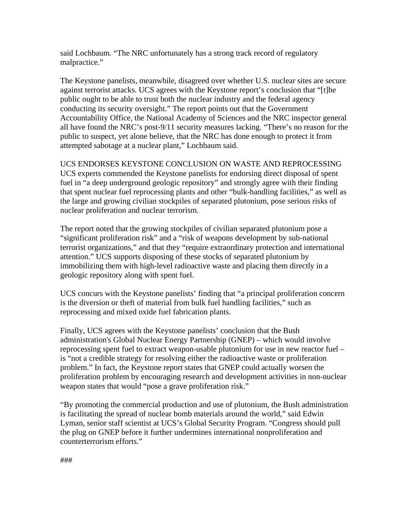said Lochbaum. "The NRC unfortunately has a strong track record of regulatory malpractice."

The Keystone panelists, meanwhile, disagreed over whether U.S. nuclear sites are secure against terrorist attacks. UCS agrees with the Keystone report's conclusion that "[t]he public ought to be able to trust both the nuclear industry and the federal agency conducting its security oversight." The report points out that the Government Accountability Office, the National Academy of Sciences and the NRC inspector general all have found the NRC's post-9/11 security measures lacking. "There's no reason for the public to suspect, yet alone believe, that the NRC has done enough to protect it from attempted sabotage at a nuclear plant," Lochbaum said.

UCS ENDORSES KEYSTONE CONCLUSION ON WASTE AND REPROCESSING UCS experts commended the Keystone panelists for endorsing direct disposal of spent fuel in "a deep underground geologic repository" and strongly agree with their finding that spent nuclear fuel reprocessing plants and other "bulk-handling facilities," as well as the large and growing civilian stockpiles of separated plutonium, pose serious risks of nuclear proliferation and nuclear terrorism.

The report noted that the growing stockpiles of civilian separated plutonium pose a "significant proliferation risk" and a "risk of weapons development by sub-national terrorist organizations," and that they "require extraordinary protection and international attention." UCS supports disposing of these stocks of separated plutonium by immobilizing them with high-level radioactive waste and placing them directly in a geologic repository along with spent fuel.

UCS concurs with the Keystone panelists' finding that "a principal proliferation concern is the diversion or theft of material from bulk fuel handling facilities," such as reprocessing and mixed oxide fuel fabrication plants.

Finally, UCS agrees with the Keystone panelists' conclusion that the Bush administration's Global Nuclear Energy Partnership (GNEP) – which would involve reprocessing spent fuel to extract weapon-usable plutonium for use in new reactor fuel – is "not a credible strategy for resolving either the radioactive waste or proliferation problem." In fact, the Keystone report states that GNEP could actually worsen the proliferation problem by encouraging research and development activities in non-nuclear weapon states that would "pose a grave proliferation risk."

"By promoting the commercial production and use of plutonium, the Bush administration is facilitating the spread of nuclear bomb materials around the world," said Edwin Lyman, senior staff scientist at UCS's Global Security Program. "Congress should pull the plug on GNEP before it further undermines international nonproliferation and counterterrorism efforts."